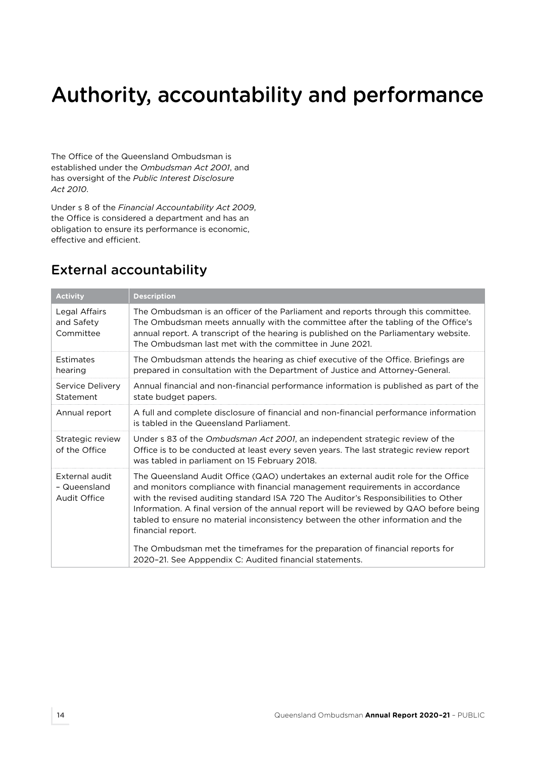# Authority, accountability and performance

The Office of the Queensland Ombudsman is established under the *Ombudsman Act 2001*, and has oversight of the *Public Interest Disclosure Act 2010*.

Under s 8 of the *Financial Accountability Act 2009*, the Office is considered a department and has an obligation to ensure its performance is economic, effective and efficient.

# External accountability

| <b>Activity</b>                                       | <b>Description</b>                                                                                                                                                                                                                                                                                                                                                                                                                                          |
|-------------------------------------------------------|-------------------------------------------------------------------------------------------------------------------------------------------------------------------------------------------------------------------------------------------------------------------------------------------------------------------------------------------------------------------------------------------------------------------------------------------------------------|
| Legal Affairs<br>and Safety<br>Committee              | The Ombudsman is an officer of the Parliament and reports through this committee.<br>The Ombudsman meets annually with the committee after the tabling of the Office's<br>annual report. A transcript of the hearing is published on the Parliamentary website.<br>The Ombudsman last met with the committee in June 2021.                                                                                                                                  |
| Estimates<br>hearing                                  | The Ombudsman attends the hearing as chief executive of the Office. Briefings are<br>prepared in consultation with the Department of Justice and Attorney-General.                                                                                                                                                                                                                                                                                          |
| Service Delivery<br>Statement                         | Annual financial and non-financial performance information is published as part of the<br>state budget papers.                                                                                                                                                                                                                                                                                                                                              |
| Annual report                                         | A full and complete disclosure of financial and non-financial performance information<br>is tabled in the Queensland Parliament.                                                                                                                                                                                                                                                                                                                            |
| Strategic review<br>of the Office                     | Under s 83 of the Ombudsman Act 2001, an independent strategic review of the<br>Office is to be conducted at least every seven years. The last strategic review report<br>was tabled in parliament on 15 February 2018.                                                                                                                                                                                                                                     |
| External audit<br>- Queensland<br><b>Audit Office</b> | The Queensland Audit Office (QAO) undertakes an external audit role for the Office<br>and monitors compliance with financial management requirements in accordance<br>with the revised auditing standard ISA 720 The Auditor's Responsibilities to Other<br>Information. A final version of the annual report will be reviewed by QAO before being<br>tabled to ensure no material inconsistency between the other information and the<br>financial report. |
|                                                       | The Ombudsman met the timeframes for the preparation of financial reports for<br>2020-21. See Apppendix C: Audited financial statements.                                                                                                                                                                                                                                                                                                                    |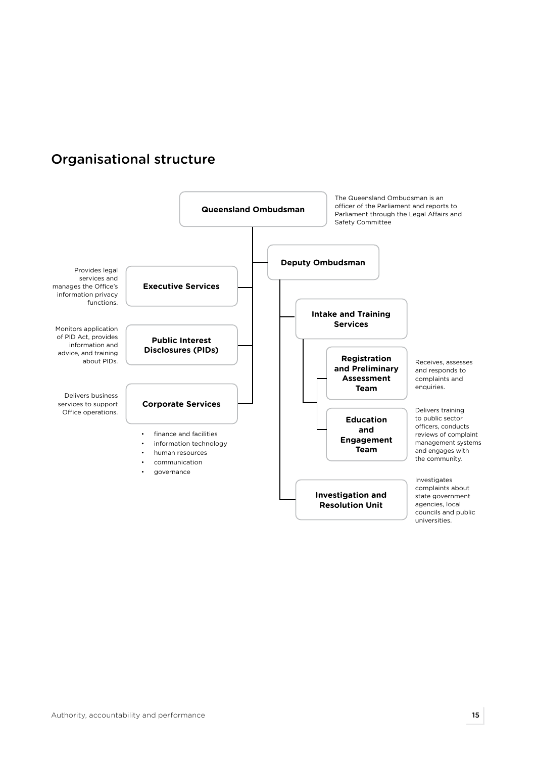# Organisational structure

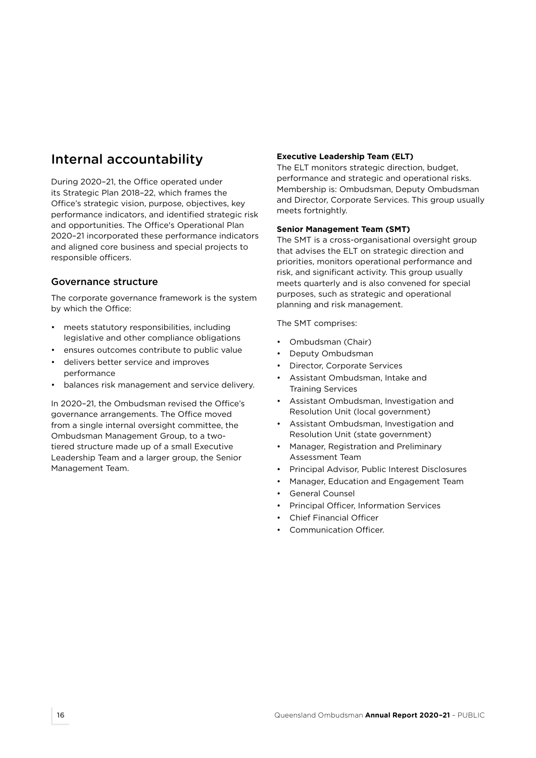# Internal accountability

During 2020–21, the Office operated under its Strategic Plan 2018–22, which frames the Office's strategic vision, purpose, objectives, key performance indicators, and identified strategic risk and opportunities. The Office's Operational Plan 2020–21 incorporated these performance indicators and aligned core business and special projects to responsible officers.

#### Governance structure

The corporate governance framework is the system by which the Office:

- meets statutory responsibilities, including legislative and other compliance obligations
- ensures outcomes contribute to public value
- delivers better service and improves performance
- balances risk management and service delivery.

In 2020–21, the Ombudsman revised the Office's governance arrangements. The Office moved from a single internal oversight committee, the Ombudsman Management Group, to a twotiered structure made up of a small Executive Leadership Team and a larger group, the Senior Management Team.

#### **Executive Leadership Team (ELT)**

The ELT monitors strategic direction, budget, performance and strategic and operational risks. Membership is: Ombudsman, Deputy Ombudsman and Director, Corporate Services. This group usually meets fortnightly.

#### **Senior Management Team (SMT)**

The SMT is a cross-organisational oversight group that advises the ELT on strategic direction and priorities, monitors operational performance and risk, and significant activity. This group usually meets quarterly and is also convened for special purposes, such as strategic and operational planning and risk management.

The SMT comprises:

- Ombudsman (Chair)
- Deputy Ombudsman
- Director, Corporate Services
- Assistant Ombudsman, Intake and Training Services
- Assistant Ombudsman, Investigation and Resolution Unit (local government)
- Assistant Ombudsman, Investigation and Resolution Unit (state government)
- Manager, Registration and Preliminary Assessment Team
- Principal Advisor, Public Interest Disclosures
- Manager, Education and Engagement Team
- General Counsel
- Principal Officer, Information Services
- Chief Financial Officer
- Communication Officer.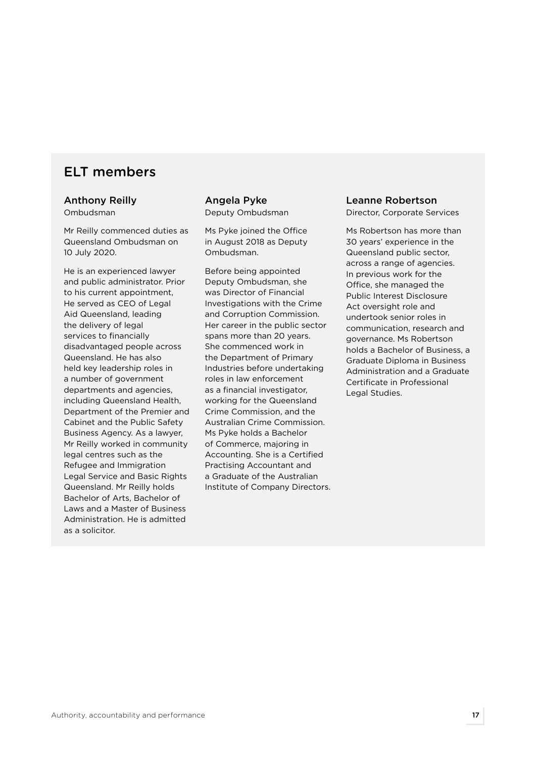# ELT members

#### Anthony Reilly

Ombudsman

Mr Reilly commenced duties as Queensland Ombudsman on 10 July 2020.

He is an experienced lawyer and public administrator. Prior to his current appointment, He served as CEO of Legal Aid Queensland, leading the delivery of legal services to financially disadvantaged people across Queensland. He has also held key leadership roles in a number of government departments and agencies, including Queensland Health, Department of the Premier and Cabinet and the Public Safety Business Agency. As a lawyer, Mr Reilly worked in community legal centres such as the Refugee and Immigration Legal Service and Basic Rights Queensland. Mr Reilly holds Bachelor of Arts, Bachelor of Laws and a Master of Business Administration. He is admitted as a solicitor.

#### Angela Pyke Deputy Ombudsman

Ms Pyke joined the Office in August 2018 as Deputy Ombudsman.

Before being appointed Deputy Ombudsman, she was Director of Financial Investigations with the Crime and Corruption Commission. Her career in the public sector spans more than 20 years. She commenced work in the Department of Primary Industries before undertaking roles in law enforcement as a financial investigator, working for the Queensland Crime Commission, and the Australian Crime Commission. Ms Pyke holds a Bachelor of Commerce, majoring in Accounting. She is a Certified Practising Accountant and a Graduate of the Australian Institute of Company Directors.

### Leanne Robertson

Director, Corporate Services

Ms Robertson has more than 30 years' experience in the Queensland public sector, across a range of agencies. In previous work for the Office, she managed the Public Interest Disclosure Act oversight role and undertook senior roles in communication, research and governance. Ms Robertson holds a Bachelor of Business, a Graduate Diploma in Business Administration and a Graduate Certificate in Professional Legal Studies.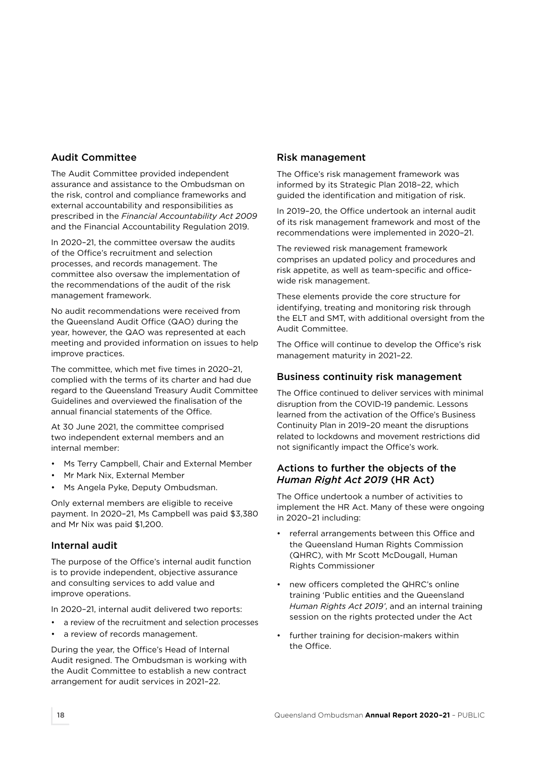#### Audit Committee

The Audit Committee provided independent assurance and assistance to the Ombudsman on the risk, control and compliance frameworks and external accountability and responsibilities as prescribed in the *Financial Accountability Act 2009*  and the Financial Accountability Regulation 2019.

In 2020–21, the committee oversaw the audits of the Office's recruitment and selection processes, and records management. The committee also oversaw the implementation of the recommendations of the audit of the risk management framework.

No audit recommendations were received from the Queensland Audit Office (QAO) during the year, however, the QAO was represented at each meeting and provided information on issues to help improve practices.

The committee, which met five times in 2020–21, complied with the terms of its charter and had due regard to the Queensland Treasury Audit Committee Guidelines and overviewed the finalisation of the annual financial statements of the Office.

At 30 June 2021, the committee comprised two independent external members and an internal member:

- Ms Terry Campbell, Chair and External Member
- Mr Mark Nix, External Member
- Ms Angela Pyke, Deputy Ombudsman.

Only external members are eligible to receive payment. In 2020–21, Ms Campbell was paid \$3,380 and Mr Nix was paid \$1,200.

#### Internal audit

The purpose of the Office's internal audit function is to provide independent, objective assurance and consulting services to add value and improve operations.

In 2020–21, internal audit delivered two reports:

- a review of the recruitment and selection processes
- a review of records management.

During the year, the Office's Head of Internal Audit resigned. The Ombudsman is working with the Audit Committee to establish a new contract arrangement for audit services in 2021–22.

#### Risk management

The Office's risk management framework was informed by its Strategic Plan 2018–22, which guided the identification and mitigation of risk.

In 2019–20, the Office undertook an internal audit of its risk management framework and most of the recommendations were implemented in 2020–21.

The reviewed risk management framework comprises an updated policy and procedures and risk appetite, as well as team-specific and officewide risk management.

These elements provide the core structure for identifying, treating and monitoring risk through the ELT and SMT, with additional oversight from the Audit Committee.

The Office will continue to develop the Office's risk management maturity in 2021–22.

#### Business continuity risk management

The Office continued to deliver services with minimal disruption from the COVID-19 pandemic. Lessons learned from the activation of the Office's Business Continuity Plan in 2019–20 meant the disruptions related to lockdowns and movement restrictions did not significantly impact the Office's work.

#### Actions to further the objects of the *Human Right Act 2019* (HR Act)

The Office undertook a number of activities to implement the HR Act. Many of these were ongoing in 2020–21 including:

- referral arrangements between this Office and the Queensland Human Rights Commission (QHRC), with Mr Scott McDougall, Human Rights Commissioner
- new officers completed the QHRC's online training 'Public entities and the Queensland *Human Rights Act 2019'*, and an internal training session on the rights protected under the Act
- further training for decision-makers within the Office.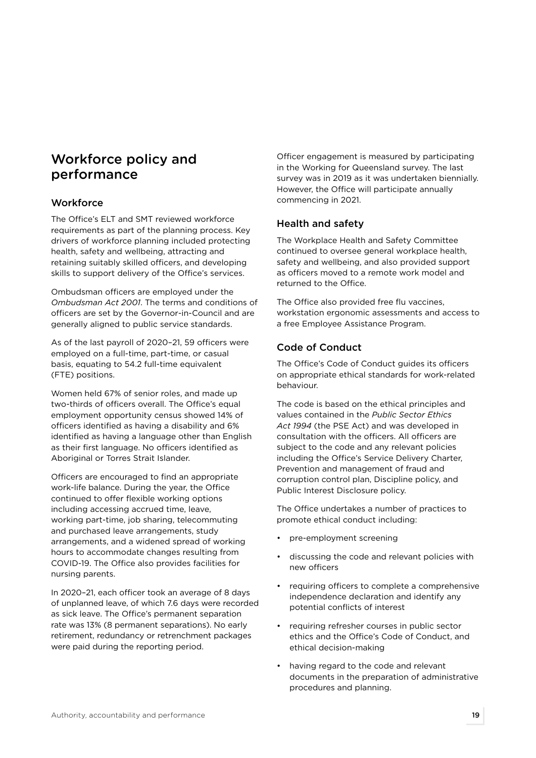# Workforce policy and performance

#### **Workforce**

The Office's ELT and SMT reviewed workforce requirements as part of the planning process. Key drivers of workforce planning included protecting health, safety and wellbeing, attracting and retaining suitably skilled officers, and developing skills to support delivery of the Office's services.

Ombudsman officers are employed under the *Ombudsman Act 2001*. The terms and conditions of officers are set by the Governor-in-Council and are generally aligned to public service standards.

As of the last payroll of 2020–21, 59 officers were employed on a full-time, part-time, or casual basis, equating to 54.2 full-time equivalent (FTE) positions.

Women held 67% of senior roles, and made up two-thirds of officers overall. The Office's equal employment opportunity census showed 14% of officers identified as having a disability and 6% identified as having a language other than English as their first language. No officers identified as Aboriginal or Torres Strait Islander.

Officers are encouraged to find an appropriate work-life balance. During the year, the Office continued to offer flexible working options including accessing accrued time, leave, working part-time, job sharing, telecommuting and purchased leave arrangements, study arrangements, and a widened spread of working hours to accommodate changes resulting from COVID-19. The Office also provides facilities for nursing parents.

In 2020–21, each officer took an average of 8 days of unplanned leave, of which 7.6 days were recorded as sick leave. The Office's permanent separation rate was 13% (8 permanent separations). No early retirement, redundancy or retrenchment packages were paid during the reporting period.

Officer engagement is measured by participating in the Working for Queensland survey. The last survey was in 2019 as it was undertaken biennially. However, the Office will participate annually commencing in 2021.

#### Health and safety

The Workplace Health and Safety Committee continued to oversee general workplace health, safety and wellbeing, and also provided support as officers moved to a remote work model and returned to the Office.

The Office also provided free flu vaccines, workstation ergonomic assessments and access to a free Employee Assistance Program.

#### Code of Conduct

The Office's Code of Conduct guides its officers on appropriate ethical standards for work-related behaviour.

The code is based on the ethical principles and values contained in the *Public Sector Ethics Act 1994* (the PSE Act) and was developed in consultation with the officers. All officers are subject to the code and any relevant policies including the Office's Service Delivery Charter, Prevention and management of fraud and corruption control plan, Discipline policy, and Public Interest Disclosure policy.

The Office undertakes a number of practices to promote ethical conduct including:

- pre-employment screening
- discussing the code and relevant policies with new officers
- requiring officers to complete a comprehensive independence declaration and identify any potential conflicts of interest
- requiring refresher courses in public sector ethics and the Office's Code of Conduct, and ethical decision-making
- having regard to the code and relevant documents in the preparation of administrative procedures and planning.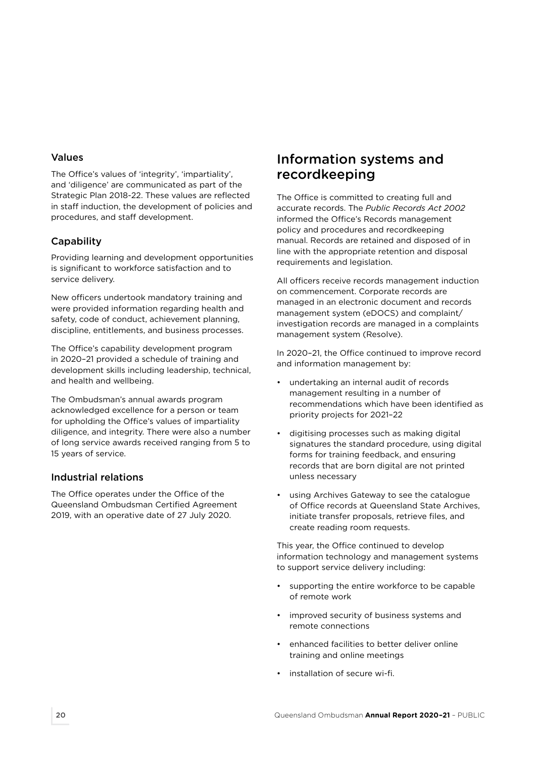#### Values

The Office's values of 'integrity', 'impartiality', and 'diligence' are communicated as part of the Strategic Plan 2018-22. These values are reflected in staff induction, the development of policies and procedures, and staff development.

#### **Capability**

Providing learning and development opportunities is significant to workforce satisfaction and to service delivery.

New officers undertook mandatory training and were provided information regarding health and safety, code of conduct, achievement planning, discipline, entitlements, and business processes.

The Office's capability development program in 2020–21 provided a schedule of training and development skills including leadership, technical, and health and wellbeing.

The Ombudsman's annual awards program acknowledged excellence for a person or team for upholding the Office's values of impartiality diligence, and integrity. There were also a number of long service awards received ranging from 5 to 15 years of service.

#### Industrial relations

The Office operates under the Office of the Queensland Ombudsman Certified Agreement 2019, with an operative date of 27 July 2020.

# Information systems and recordkeeping

The Office is committed to creating full and accurate records. The *Public Records Act 2002* informed the Office's Records management policy and procedures and recordkeeping manual. Records are retained and disposed of in line with the appropriate retention and disposal requirements and legislation.

All officers receive records management induction on commencement. Corporate records are managed in an electronic document and records management system (eDOCS) and complaint/ investigation records are managed in a complaints management system (Resolve).

In 2020–21, the Office continued to improve record and information management by:

- undertaking an internal audit of records management resulting in a number of recommendations which have been identified as priority projects for 2021–22
- digitising processes such as making digital signatures the standard procedure, using digital forms for training feedback, and ensuring records that are born digital are not printed unless necessary
- using Archives Gateway to see the catalogue of Office records at Queensland State Archives, initiate transfer proposals, retrieve files, and create reading room requests.

This year, the Office continued to develop information technology and management systems to support service delivery including:

- supporting the entire workforce to be capable of remote work
- improved security of business systems and remote connections
- enhanced facilities to better deliver online training and online meetings
- installation of secure wi-fi.